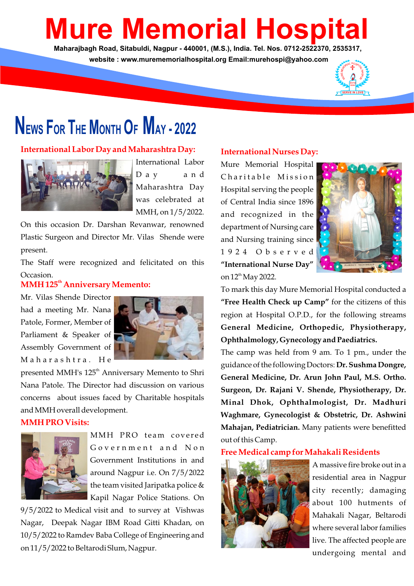# **Mure Memorial Hospit**

**Maharajbagh Road, Sitabuldi, Nagpur - 440001, (M.S.), India. Tel. Nos. 0712-2522370, 2535317, website : www.murememorialhospital.org Email:murehospi@yahoo.com**



# **NEWS FOR THE MONTH O<sup>F</sup> MAY - <sup>2022</sup>**

#### **International Labor Day and Maharashtra Day:**



International Labor D a y a n d Maharashtra Day was celebrated at MMH, on 1/5/2022.

On this occasion Dr. Darshan Revanwar, renowned Plastic Surgeon and Director Mr. Vilas Shende were present.

The Staff were recognized and felicitated on this Occasion.

#### **MMH 125<sup>th</sup> Anniversary Memento:**

Mr. Vilas Shende Director had a meeting Mr. Nana Patole, Former, Member of Parliament & Speaker of Assembly Government of Maharashtra, He



presented MMH's 125<sup>th</sup> Anniversary Memento to Shri Nana Patole. The Director had discussion on various concerns about issues faced by Charitable hospitals and MMH overall development.

#### **MMH PRO Visits:**



MMH PRO team covered Government and Non Government Institutions in and around Nagpur i.e. On 7/5/2022 the team visited Jaripatka police & Kapil Nagar Police Stations. On

9/5/2022 to Medical visit and to survey at Vishwas Nagar, Deepak Nagar IBM Road Gitti Khadan, on 10/5/2022 to Ramdev Baba College of Engineering and on 11/5/2022 to Beltarodi Slum, Nagpur.

#### **International Nurses Day:**

Mure Memorial Hospital Charitable Mission Hospital serving the people of Central India since 1896 and recognized in the department of Nursing care and Nursing training since 1 9 2 4 O b s e r v e d **"International Nurse Day"** on 12<sup>th</sup> May 2022.



To mark this day Mure Memorial Hospital conducted a **"Free Health Check up Camp"** for the citizens of this region at Hospital O.P.D., for the following streams **General Medicine, Orthopedic, Physiotherapy, Ophthalmology, Gynecology and Paediatrics.**

The camp was held from 9 am. To 1 pm., under the guidance of the following Doctors: **Dr. Sushma Dongre, General Medicine, Dr. Arun John Paul, M.S. Ortho. Surgeon, Dr. Rajani V. Shende, Physiotherapy, Dr. Minal Dhok, Ophthalmologist, Dr. Madhuri Waghmare, Gynecologist & Obstetric, Dr. Ashwini Mahajan, Pediatrician.** Many patients were benefitted out of this Camp.

#### **Free Medical camp for Mahakali Residents**



A massive fire broke out in a residential area in Nagpur city recently; damaging about 100 hutments of Mahakali Nagar, Beltarodi where several labor families live. The affected people are undergoing mental and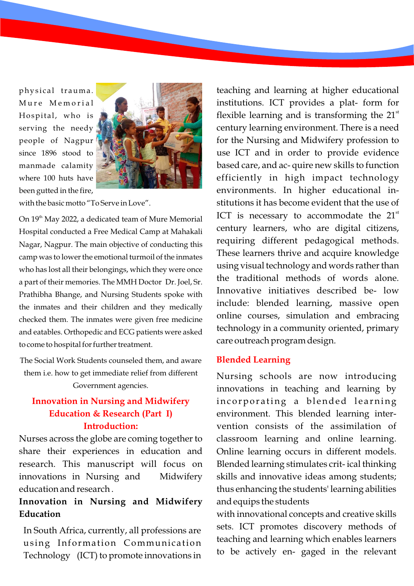physical trauma. Mure Memorial Hospital, who is serving the needy people of Nagpur since 1896 stood to manmade calamity where 100 huts have been gutted in the fire,



with the basic motto "To Serve in Love".

On 19<sup>th</sup> May 2022, a dedicated team of Mure Memorial Hospital conducted a Free Medical Camp at Mahakali Nagar, Nagpur. The main objective of conducting this camp was to lower the emotional turmoil of the inmates who has lost all their belongings, which they were once a part of their memories. The MMH Doctor Dr. Joel, Sr. Prathibha Bhange, and Nursing Students spoke with the inmates and their children and they medically checked them. The inmates were given free medicine and eatables. Orthopedic and ECG patients were asked to come to hospital for further treatment.

The Social Work Students counseled them, and aware them i.e. how to get immediate relief from different Government agencies.

### **Innovation in Nursing and Midwifery Education & Research (Part I) Introduction:**

Nurses across the globe are coming together to share their experiences in education and research. This manuscript will focus on innovations in Nursing and Midwifery education and research .

## **Innovation in Nursing and Midwifery Education**

In South Africa, currently, all professions are using Information Communication Technology (ICT) to promote innovations in teaching and learning at higher educational institutions. ICT provides a plat- form for flexible learning and is transforming the  $21<sup>st</sup>$ century learning environment. There is a need for the Nursing and Midwifery profession to use ICT and in order to provide evidence based care, and ac- quire new skills to function efficiently in high impact technology environments. In higher educational institutions it has become evident that the use of ICT is necessary to accommodate the  $21<sup>st</sup>$ century learners, who are digital citizens, requiring different pedagogical methods. These learners thrive and acquire knowledge using visual technology and words rather than the traditional methods of words alone. Innovative initiatives described be- low include: blended learning, massive open online courses, simulation and embracing technology in a community oriented, primary care outreach program design.

#### **Blended Learning**

Nursing schools are now introducing innovations in teaching and learning by incorporating a blended learning environment. This blended learning intervention consists of the assimilation of classroom learning and online learning. Online learning occurs in different models. Blended learning stimulates crit- ical thinking skills and innovative ideas among students; thus enhancing the students' learning abilities and equips the students

with innovational concepts and creative skills sets. ICT promotes discovery methods of teaching and learning which enables learners to be actively en- gaged in the relevant